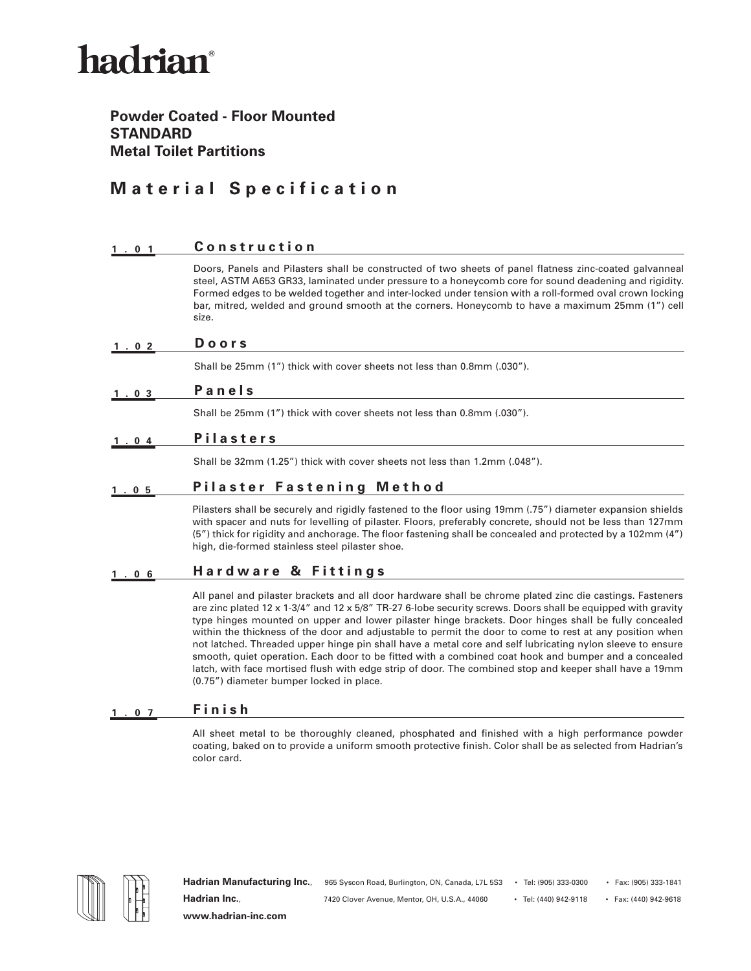## hadrian®

### **Powder Coated - Floor Mounted STANDARD Metal Toilet Partitions**

### **Material Specification**

| 1.01 | Construction                                                                                                                                                                                                                                                                                                                                                                                                                             |
|------|------------------------------------------------------------------------------------------------------------------------------------------------------------------------------------------------------------------------------------------------------------------------------------------------------------------------------------------------------------------------------------------------------------------------------------------|
|      | Doors, Panels and Pilasters shall be constructed of two sheets of panel flatness zinc-coated galvanneal<br>steel, ASTM A653 GR33, laminated under pressure to a honeycomb core for sound deadening and rigidity.<br>Formed edges to be welded together and inter-locked under tension with a roll-formed oval crown locking<br>bar, mitred, welded and ground smooth at the corners. Honeycomb to have a maximum 25mm (1") cell<br>size. |
| 1.02 | Doors                                                                                                                                                                                                                                                                                                                                                                                                                                    |
|      | Shall be 25mm (1") thick with cover sheets not less than 0.8mm (.030").                                                                                                                                                                                                                                                                                                                                                                  |
| 1.03 | Panels                                                                                                                                                                                                                                                                                                                                                                                                                                   |
|      | Shall be 25mm (1") thick with cover sheets not less than 0.8mm (.030").                                                                                                                                                                                                                                                                                                                                                                  |
| 1.04 | <b>Pilasters</b>                                                                                                                                                                                                                                                                                                                                                                                                                         |
|      | Shall be 32mm (1.25") thick with cover sheets not less than 1.2mm (.048").                                                                                                                                                                                                                                                                                                                                                               |
| . 05 | <b>Pilaster Fastening Method</b>                                                                                                                                                                                                                                                                                                                                                                                                         |
|      | Pilasters shall be securely and rigidly fastened to the floor using 19mm (.75") diameter expansion shields<br>with spacer and nuts for levelling of pilaster. Floors, preferably concrete, should not be less than 127mm<br>(5") thick for rigidity and anchorage. The floor fastening shall be concealed and protected by a 102mm (4")<br>high, die-formed stainless steel pilaster shoe.                                               |
| 1.06 | Hardware & Fittings                                                                                                                                                                                                                                                                                                                                                                                                                      |

All panel and pilaster brackets and all door hardware shall be chrome plated zinc die castings. Fasteners are zinc plated 12 x 1-3/4" and 12 x 5/8" TR-27 6-lobe security screws. Doors shall be equipped with gravity type hinges mounted on upper and lower pilaster hinge brackets. Door hinges shall be fully concealed within the thickness of the door and adjustable to permit the door to come to rest at any position when not latched. Threaded upper hinge pin shall have a metal core and self lubricating nylon sleeve to ensure smooth, quiet operation. Each door to be fitted with a combined coat hook and bumper and a concealed latch, with face mortised flush with edge strip of door. The combined stop and keeper shall have a 19mm (0.75") diameter bumper locked in place.

#### **1.07 Finish**

All sheet metal to be thoroughly cleaned, phosphated and finished with a high performance powder coating, baked on to provide a uniform smooth protective finish. Color shall be as selected from Hadrian's color card.